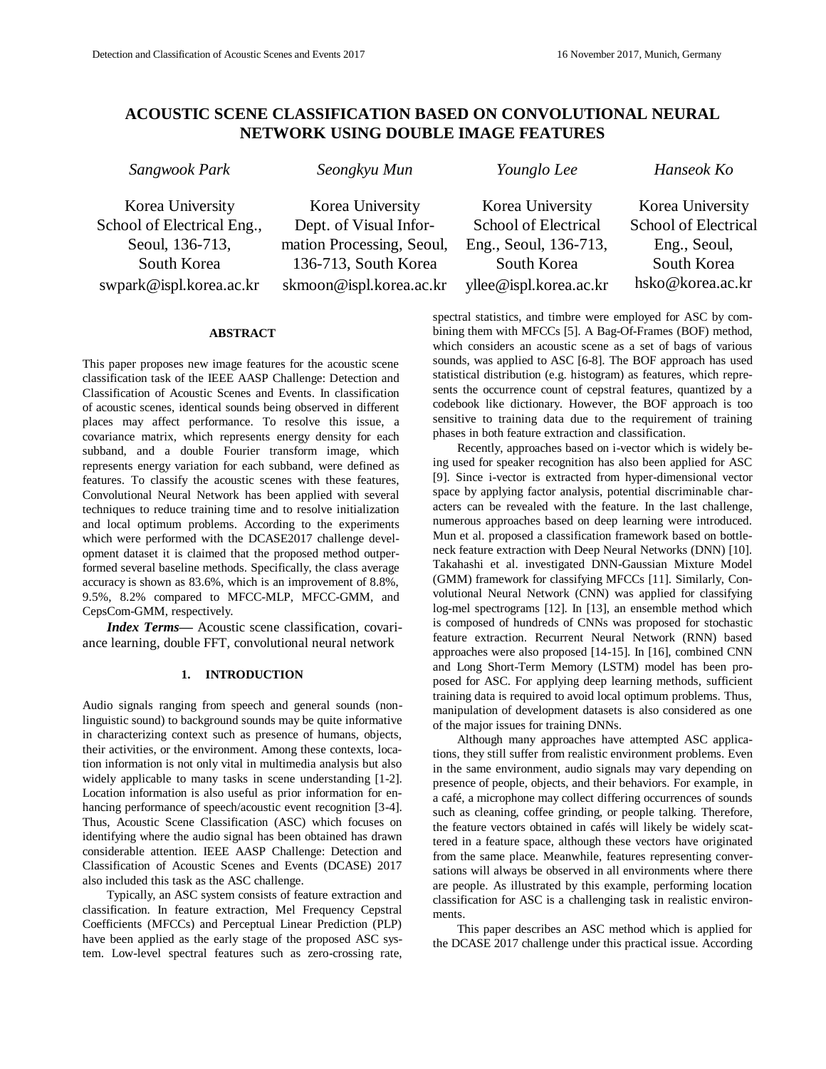# **ACOUSTIC SCENE CLASSIFICATION BASED ON CONVOLUTIONAL NEURAL NETWORK USING DOUBLE IMAGE FEATURES**

| Sangwook Park |  |  |
|---------------|--|--|
|---------------|--|--|

*Sangwook Park Seongkyu Mun Younglo Lee Hanseok Ko*

Korea University School of Electrical Eng., Seoul, 136-713, South Korea yllee@ispl.korea.ac.kr

Korea University School of Electrical Eng., Seoul, South Korea hsko@korea.ac.kr

Korea University School of Electrical Eng., Seoul, 136-713, South Korea swpark@ispl.korea.ac.kr

Korea University Dept. of Visual Information Processing, Seoul, 136-713, South Korea skmoon@ispl.korea.ac.kr

> spectral statistics, and timbre were employed for ASC by combining them with MFCCs [5]. A Bag-Of-Frames (BOF) method, which considers an acoustic scene as a set of bags of various sounds, was applied to ASC [6-8]. The BOF approach has used statistical distribution (e.g. histogram) as features, which represents the occurrence count of cepstral features, quantized by a codebook like dictionary. However, the BOF approach is too sensitive to training data due to the requirement of training phases in both feature extraction and classification.

> Recently, approaches based on i-vector which is widely being used for speaker recognition has also been applied for ASC [9]. Since i-vector is extracted from hyper-dimensional vector space by applying factor analysis, potential discriminable characters can be revealed with the feature. In the last challenge, numerous approaches based on deep learning were introduced. Mun et al. proposed a classification framework based on bottleneck feature extraction with Deep Neural Networks (DNN) [10]. Takahashi et al. investigated DNN-Gaussian Mixture Model (GMM) framework for classifying MFCCs [11]. Similarly, Convolutional Neural Network (CNN) was applied for classifying log-mel spectrograms [12]. In [13], an ensemble method which is composed of hundreds of CNNs was proposed for stochastic feature extraction. Recurrent Neural Network (RNN) based approaches were also proposed [14-15]. In [16], combined CNN and Long Short-Term Memory (LSTM) model has been proposed for ASC. For applying deep learning methods, sufficient training data is required to avoid local optimum problems. Thus, manipulation of development datasets is also considered as one of the major issues for training DNNs.

> Although many approaches have attempted ASC applications, they still suffer from realistic environment problems. Even in the same environment, audio signals may vary depending on presence of people, objects, and their behaviors. For example, in a café, a microphone may collect differing occurrences of sounds such as cleaning, coffee grinding, or people talking. Therefore, the feature vectors obtained in cafés will likely be widely scattered in a feature space, although these vectors have originated from the same place. Meanwhile, features representing conversations will always be observed in all environments where there are people. As illustrated by this example, performing location classification for ASC is a challenging task in realistic environments.

> This paper describes an ASC method which is applied for the DCASE 2017 challenge under this practical issue. According

This paper proposes new image features for the acoustic scene classification task of the IEEE AASP Challenge: Detection and Classification of Acoustic Scenes and Events. In classification of acoustic scenes, identical sounds being observed in different places may affect performance. To resolve this issue, a covariance matrix, which represents energy density for each subband, and a double Fourier transform image, which represents energy variation for each subband, were defined as features. To classify the acoustic scenes with these features, Convolutional Neural Network has been applied with several techniques to reduce training time and to resolve initialization and local optimum problems. According to the experiments which were performed with the DCASE2017 challenge development dataset it is claimed that the proposed method outperformed several baseline methods. Specifically, the class average accuracy is shown as 83.6%, which is an improvement of 8.8%, 9.5%, 8.2% compared to MFCC-MLP, MFCC-GMM, and CepsCom-GMM, respectively.

**ABSTRACT**

*Index Terms—* Acoustic scene classification, covariance learning, double FFT, convolutional neural network

# **1. INTRODUCTION**

Audio signals ranging from speech and general sounds (nonlinguistic sound) to background sounds may be quite informative in characterizing context such as presence of humans, objects, their activities, or the environment. Among these contexts, location information is not only vital in multimedia analysis but also widely applicable to many tasks in scene understanding [1-2]. Location information is also useful as prior information for enhancing performance of speech/acoustic event recognition [3-4]. Thus, Acoustic Scene Classification (ASC) which focuses on identifying where the audio signal has been obtained has drawn considerable attention. IEEE AASP Challenge: Detection and Classification of Acoustic Scenes and Events (DCASE) 2017 also included this task as the ASC challenge.

Typically, an ASC system consists of feature extraction and classification. In feature extraction, Mel Frequency Cepstral Coefficients (MFCCs) and Perceptual Linear Prediction (PLP) have been applied as the early stage of the proposed ASC system. Low-level spectral features such as zero-crossing rate,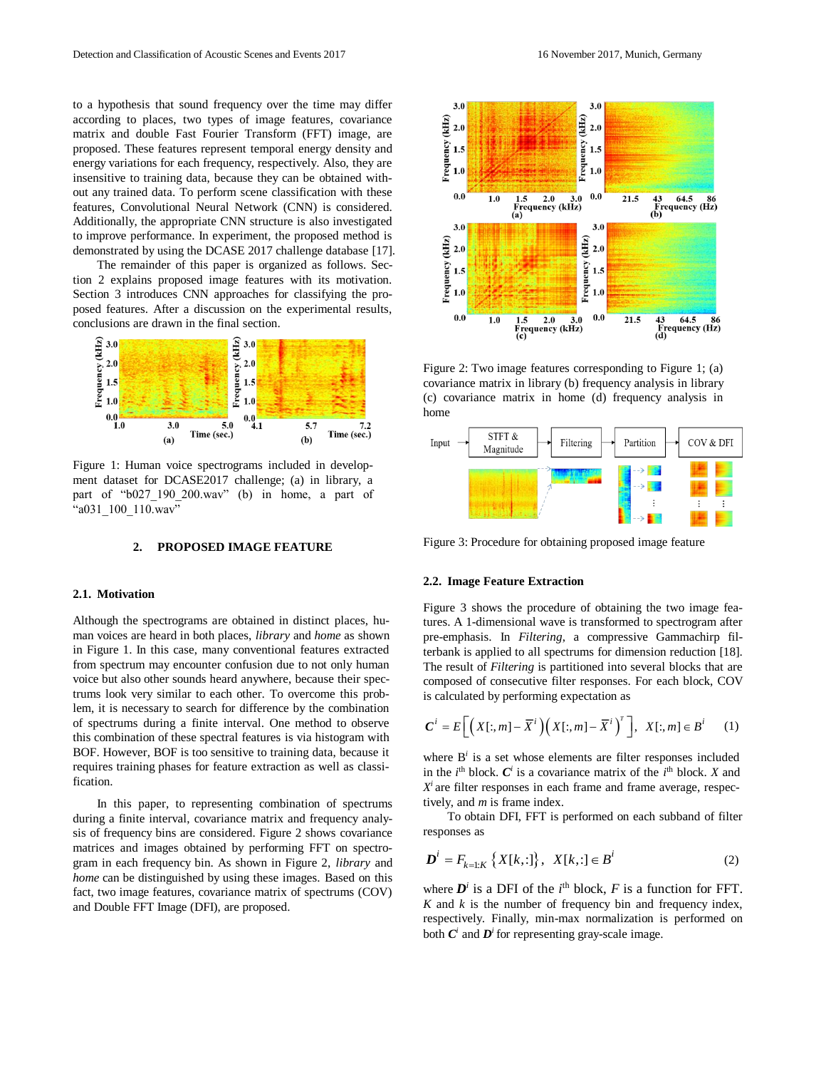to a hypothesis that sound frequency over the time may differ according to places, two types of image features, covariance matrix and double Fast Fourier Transform (FFT) image, are proposed. These features represent temporal energy density and energy variations for each frequency, respectively. Also, they are insensitive to training data, because they can be obtained without any trained data. To perform scene classification with these features, Convolutional Neural Network (CNN) is considered. Additionally, the appropriate CNN structure is also investigated to improve performance. In experiment, the proposed method is demonstrated by using the DCASE 2017 challenge database [17].

The remainder of this paper is organized as follows. Section 2 explains proposed image features with its motivation. Section 3 introduces CNN approaches for classifying the proposed features. After a discussion on the experimental results, conclusions are drawn in the final section.



Figure 1: Human voice spectrograms included in development dataset for DCASE2017 challenge; (a) in library, a part of "b027 190 200.wav" (b) in home, a part of "a031\_100\_110.wav"

#### **2. PROPOSED IMAGE FEATURE**

#### **2.1. Motivation**

Although the spectrograms are obtained in distinct places, human voices are heard in both places, *library* and *home* as shown in Figure 1. In this case, many conventional features extracted from spectrum may encounter confusion due to not only human voice but also other sounds heard anywhere, because their spectrums look very similar to each other. To overcome this problem, it is necessary to search for difference by the combination of spectrums during a finite interval. One method to observe this combination of these spectral features is via histogram with BOF. However, BOF is too sensitive to training data, because it requires training phases for feature extraction as well as classification.

In this paper, to representing combination of spectrums during a finite interval, covariance matrix and frequency analysis of frequency bins are considered. Figure 2 shows covariance matrices and images obtained by performing FFT on spectrogram in each frequency bin. As shown in Figure 2, *library* and *home* can be distinguished by using these images. Based on this fact, two image features, covariance matrix of spectrums (COV) and Double FFT Image (DFI), are proposed.



Figure 2: Two image features corresponding to Figure 1; (a) covariance matrix in library (b) frequency analysis in library (c) covariance matrix in home (d) frequency analysis in home



Figure 3: Procedure for obtaining proposed image feature

## **2.2. Image Feature Extraction**

Figure 3 shows the procedure of obtaining the two image features. A 1-dimensional wave is transformed to spectrogram after pre-emphasis. In *Filtering*, a compressive Gammachirp filterbank is applied to all spectrums for dimension reduction [18]. The result of *Filtering* is partitioned into several blocks that are composed of consecutive filter responses. For each block, COV is calculated by performing expectation as

$$
C^{i} = E\bigg[\big(X[:, m] - \overline{X}^{i}\big)\big(X[:, m] - \overline{X}^{i}\big)^{T}\bigg], X[:, m] \in B^{i} \qquad (1)
$$

where  $B^i$  is a set whose elements are filter responses included in the  $i^{\text{th}}$  block.  $C^i$  is a covariance matrix of the  $i^{\text{th}}$  block. *X* and  $X<sup>i</sup>$  are filter responses in each frame and frame average, respectively, and *m* is frame index.

To obtain DFI, FFT is performed on each subband of filter responses as

$$
\mathbf{D}^{i} = F_{k=1:K} \left\{ X[k, :] \right\}, \ \ X[k, :] \in \mathbf{B}^{i} \tag{2}
$$

where  $D^i$  is a DFI of the  $i^{\text{th}}$  block,  $F$  is a function for FFT. *K* and *k* is the number of frequency bin and frequency index, respectively. Finally, min-max normalization is performed on both  $C^i$  and  $D^i$  for representing gray-scale image.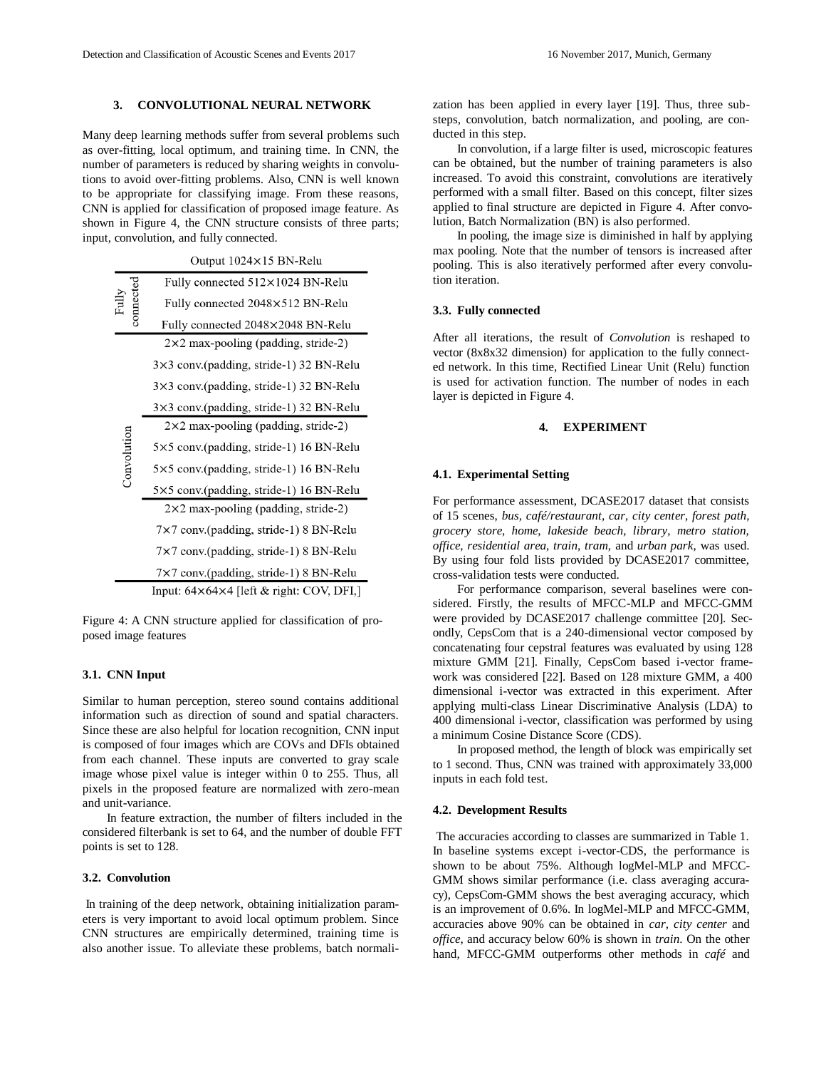# **3. CONVOLUTIONAL NEURAL NETWORK**

Many deep learning methods suffer from several problems such as over-fitting, local optimum, and training time. In CNN, the number of parameters is reduced by sharing weights in convolutions to avoid over-fitting problems. Also, CNN is well known to be appropriate for classifying image. From these reasons, CNN is applied for classification of proposed image feature. As shown in Figure 4, the CNN structure consists of three parts; input, convolution, and fully connected.

|             | Output 1024×15 BN-Relu                               |  |  |  |  |  |  |  |  |
|-------------|------------------------------------------------------|--|--|--|--|--|--|--|--|
|             | Fully connected 512×1024 BN-Relu                     |  |  |  |  |  |  |  |  |
| connected   | Fully connected 2048×512 BN-Relu                     |  |  |  |  |  |  |  |  |
|             | Fully connected 2048×2048 BN-Relu                    |  |  |  |  |  |  |  |  |
|             | $2 \times 2$ max-pooling (padding, stride-2)         |  |  |  |  |  |  |  |  |
|             | 3×3 conv.(padding, stride-1) 32 BN-Relu              |  |  |  |  |  |  |  |  |
| Convolution | 3×3 conv.(padding, stride-1) 32 BN-Relu              |  |  |  |  |  |  |  |  |
|             | 3×3 conv.(padding, stride-1) 32 BN-Relu              |  |  |  |  |  |  |  |  |
|             | $2\times2$ max-pooling (padding, stride-2)           |  |  |  |  |  |  |  |  |
|             | 5×5 conv.(padding, stride-1) 16 BN-Relu              |  |  |  |  |  |  |  |  |
|             | $5\times5$ conv. (padding, stride-1) 16 BN-Relu      |  |  |  |  |  |  |  |  |
|             | 5×5 conv.(padding, stride-1) 16 BN-Relu              |  |  |  |  |  |  |  |  |
|             | $2 \times 2$ max-pooling (padding, stride-2)         |  |  |  |  |  |  |  |  |
|             | 7×7 conv.(padding, stride-1) 8 BN-Relu               |  |  |  |  |  |  |  |  |
|             | 7×7 conv.(padding, stride-1) 8 BN-Relu               |  |  |  |  |  |  |  |  |
|             | 7×7 conv.(padding, stride-1) 8 BN-Relu               |  |  |  |  |  |  |  |  |
|             | Input: $64\times64\times4$ [left & right: COV, DFI,] |  |  |  |  |  |  |  |  |

Figure 4: A CNN structure applied for classification of proposed image features

### **3.1. CNN Input**

Similar to human perception, stereo sound contains additional information such as direction of sound and spatial characters. Since these are also helpful for location recognition, CNN input is composed of four images which are COVs and DFIs obtained from each channel. These inputs are converted to gray scale image whose pixel value is integer within 0 to 255. Thus, all pixels in the proposed feature are normalized with zero-mean and unit-variance.

In feature extraction, the number of filters included in the considered filterbank is set to 64, and the number of double FFT points is set to 128.

### **3.2. Convolution**

In training of the deep network, obtaining initialization parameters is very important to avoid local optimum problem. Since CNN structures are empirically determined, training time is also another issue. To alleviate these problems, batch normalization has been applied in every layer [19]. Thus, three substeps, convolution, batch normalization, and pooling, are conducted in this step.

In convolution, if a large filter is used, microscopic features can be obtained, but the number of training parameters is also increased. To avoid this constraint, convolutions are iteratively performed with a small filter. Based on this concept, filter sizes applied to final structure are depicted in Figure 4. After convolution, Batch Normalization (BN) is also performed.

In pooling, the image size is diminished in half by applying max pooling. Note that the number of tensors is increased after pooling. This is also iteratively performed after every convolution iteration.

#### **3.3. Fully connected**

After all iterations, the result of *Convolution* is reshaped to vector (8x8x32 dimension) for application to the fully connected network. In this time, Rectified Linear Unit (Relu) function is used for activation function. The number of nodes in each layer is depicted in Figure 4.

#### **4. EXPERIMENT**

#### **4.1. Experimental Setting**

For performance assessment, DCASE2017 dataset that consists of 15 scenes, *bus, café/restaurant, car, city center, forest path, grocery store, home, lakeside beach, library, metro station, office, residential area, train, tram,* and *urban park*, was used. By using four fold lists provided by DCASE2017 committee, cross-validation tests were conducted.

For performance comparison, several baselines were considered. Firstly, the results of MFCC-MLP and MFCC-GMM were provided by DCASE2017 challenge committee [20]. Secondly, CepsCom that is a 240-dimensional vector composed by concatenating four cepstral features was evaluated by using 128 mixture GMM [21]. Finally, CepsCom based i-vector framework was considered [22]. Based on 128 mixture GMM, a 400 dimensional i-vector was extracted in this experiment. After applying multi-class Linear Discriminative Analysis (LDA) to 400 dimensional i-vector, classification was performed by using a minimum Cosine Distance Score (CDS).

In proposed method, the length of block was empirically set to 1 second. Thus, CNN was trained with approximately 33,000 inputs in each fold test.

### **4.2. Development Results**

The accuracies according to classes are summarized in Table 1. In baseline systems except i-vector-CDS, the performance is shown to be about 75%. Although logMel-MLP and MFCC-GMM shows similar performance (i.e. class averaging accuracy), CepsCom-GMM shows the best averaging accuracy, which is an improvement of 0.6%. In logMel-MLP and MFCC-GMM, accuracies above 90% can be obtained in *car, city center* and *office*, and accuracy below 60% is shown in *train*. On the other hand, MFCC-GMM outperforms other methods in *café* and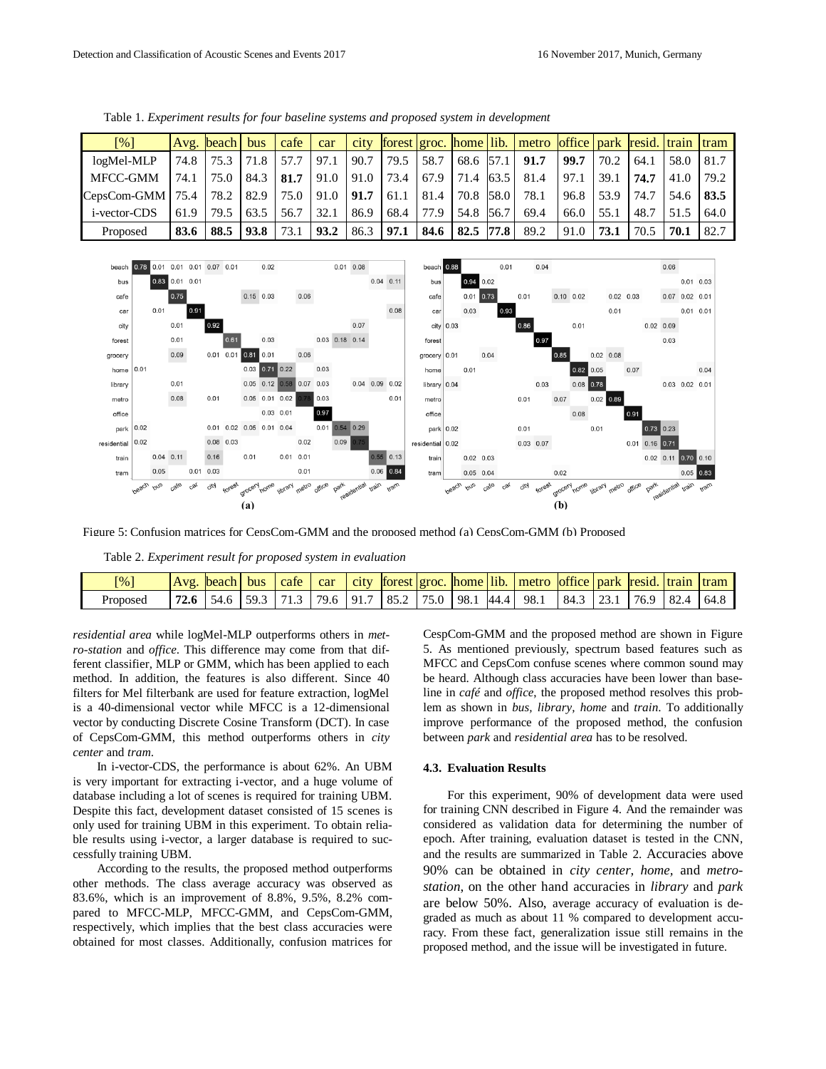| [%]                  |      | Avg. beach bus |      | cafe | car  |      |      |      |                      | city forest groc. home lib. metro office park resid. train tram |      |      |      |      |       |
|----------------------|------|----------------|------|------|------|------|------|------|----------------------|-----------------------------------------------------------------|------|------|------|------|-------|
| logMel-MLP           | 74.8 | 75.3           | 71.8 | 57.7 | 97.1 | 90.7 | 79.5 | 58.7 | 68.6 57.1            | 91.7                                                            | 99.7 | 70.2 | 64.1 | 58.0 | 81.7  |
| MFCC-GMM             | 74.1 | 75.0           | 84.3 | 81.7 | 91.0 | 91.0 | 73.4 |      | $67.9$   71.4   63.5 | 81.4                                                            | 97.1 | 39.1 | 74.7 | 41.0 | 179.2 |
| $CepsCom-GMM$   75.4 |      | 78.2           | 82.9 | 75.0 | 91.0 | 91.7 | 61.1 | 81.4 | 70.8 58.0            | 78.1                                                            | 96.8 | 53.9 | 74.7 | 54.6 | 83.5  |
| <i>i</i> -vector-CDS | 61.9 | 79.5           | 63.5 | 56.7 | 32.1 | 86.9 | 68.4 | 77.9 | 54.8 56.7            | 69.4                                                            | 66.0 | 55.1 | 48.7 | 51.5 | 64.0  |
| Proposed             | 83.6 | 88.5           | 93.8 | 73.1 | 93.2 | 86.3 | 97.1 | 84.6 | $82.5$ 77.8          | 89.2                                                            | 91.0 | 73.1 | 70.5 | 70.1 | 82.7  |

Table 1. *Experiment results for four baseline systems and proposed system in development*



Figure 5: Confusion matrices for CepsCom-GMM and the proposed method (a) CepsCom-GMM (b) Proposed

Table 2. *Experiment result for proposed system in evaluation*

| $\lceil \frac{9}{6} \rceil$ | Avg. | beach | bus    | cafe | car    | <b>C<sub>1</sub>C</b> |                                                 |  | forest groc, home lib. metro loffice park resid, train tram |                               |  |                      |  |
|-----------------------------|------|-------|--------|------|--------|-----------------------|-------------------------------------------------|--|-------------------------------------------------------------|-------------------------------|--|----------------------|--|
| Proposed                    |      | 54.6  | $-593$ | 713  | 79.6 L |                       | $\vert$ 91.7   85.2   75.0   98.1   44.4   98.1 |  |                                                             | $\vert 84.3 \vert 23.1 \vert$ |  | $76.9$   82.4   64.8 |  |

*residential area* while logMel-MLP outperforms others in *metro-station* and *office*. This difference may come from that different classifier, MLP or GMM, which has been applied to each method. In addition, the features is also different. Since 40 filters for Mel filterbank are used for feature extraction, logMel is a 40-dimensional vector while MFCC is a 12-dimensional vector by conducting Discrete Cosine Transform (DCT). In case of CepsCom-GMM, this method outperforms others in *city center* and *tram*.

In i-vector-CDS, the performance is about 62%. An UBM is very important for extracting i-vector, and a huge volume of database including a lot of scenes is required for training UBM. Despite this fact, development dataset consisted of 15 scenes is only used for training UBM in this experiment. To obtain reliable results using i-vector, a larger database is required to successfully training UBM.

According to the results, the proposed method outperforms other methods. The class average accuracy was observed as 83.6%, which is an improvement of 8.8%, 9.5%, 8.2% compared to MFCC-MLP, MFCC-GMM, and CepsCom-GMM, respectively, which implies that the best class accuracies were obtained for most classes. Additionally, confusion matrices for CespCom-GMM and the proposed method are shown in Figure 5. As mentioned previously, spectrum based features such as MFCC and CepsCom confuse scenes where common sound may be heard. Although class accuracies have been lower than baseline in *café* and *office*, the proposed method resolves this problem as shown in *bus, library, home* and *train*. To additionally improve performance of the proposed method, the confusion between *park* and *residential area* has to be resolved.

#### **4.3. Evaluation Results**

For this experiment, 90% of development data were used for training CNN described in Figure 4. And the remainder was considered as validation data for determining the number of epoch. After training, evaluation dataset is tested in the CNN, and the results are summarized in Table 2. Accuracies above 90% can be obtained in *city center, home,* and *metrostation*, on the other hand accuracies in *library* and *park* are below 50%. Also, average accuracy of evaluation is degraded as much as about 11 % compared to development accuracy. From these fact, generalization issue still remains in the proposed method, and the issue will be investigated in future.